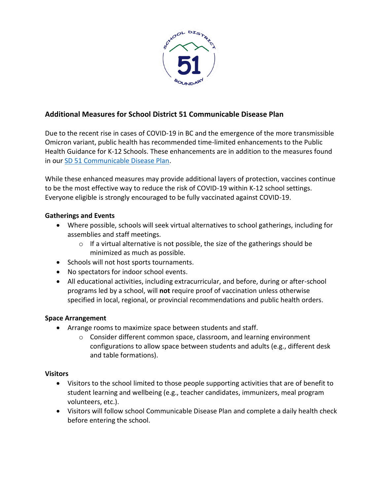

# **Additional Measures for School District 51 Communicable Disease Plan**

Due to the recent rise in cases of COVID-19 in BC and the emergence of the more transmissible Omicron variant, public health has recommended time-limited enhancements to the Public Health Guidance for K-12 Schools. These enhancements are in addition to the measures found in our [SD 51 Communicable Disease Plan.](https://www.sd51.bc.ca/wp-content/uploads/SD-51-Communicable-Disease-Plan_cw.pdf)

While these enhanced measures may provide additional layers of protection, vaccines continue to be the most effective way to reduce the risk of COVID-19 within K-12 school settings. Everyone eligible is strongly encouraged to be fully vaccinated against COVID-19.

## **Gatherings and Events**

- Where possible, schools will seek virtual alternatives to school gatherings, including for assemblies and staff meetings.
	- $\circ$  If a virtual alternative is not possible, the size of the gatherings should be minimized as much as possible.
- Schools will not host sports tournaments.
- No spectators for indoor school events.
- All educational activities, including extracurricular, and before, during or after-school programs led by a school, will **not** require proof of vaccination unless otherwise specified in local, regional, or provincial recommendations and public health orders.

## **Space Arrangement**

- Arrange rooms to maximize space between students and staff.
	- o Consider different common space, classroom, and learning environment configurations to allow space between students and adults (e.g., different desk and table formations).

#### **Visitors**

- Visitors to the school limited to those people supporting activities that are of benefit to student learning and wellbeing (e.g., teacher candidates, immunizers, meal program volunteers, etc.).
- Visitors will follow school Communicable Disease Plan and complete a daily health check before entering the school.